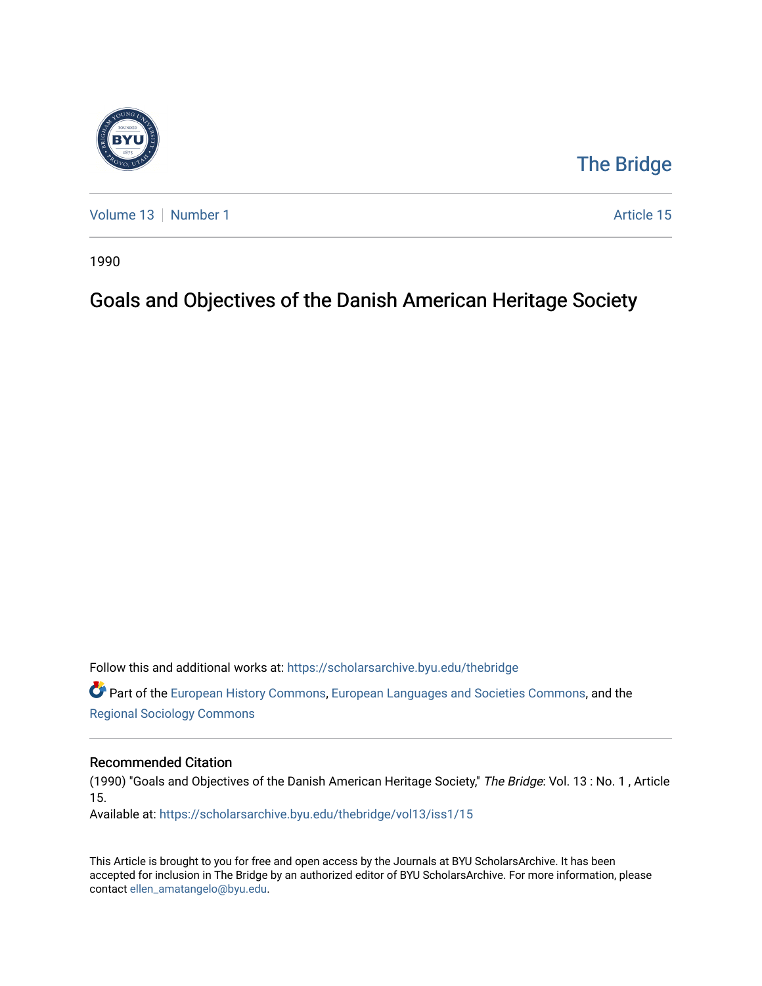

## [The Bridge](https://scholarsarchive.byu.edu/thebridge)

[Volume 13](https://scholarsarchive.byu.edu/thebridge/vol13) [Number 1](https://scholarsarchive.byu.edu/thebridge/vol13/iss1) Article 15

1990

## Goals and Objectives of the Danish American Heritage Society

Follow this and additional works at: [https://scholarsarchive.byu.edu/thebridge](https://scholarsarchive.byu.edu/thebridge?utm_source=scholarsarchive.byu.edu%2Fthebridge%2Fvol13%2Fiss1%2F15&utm_medium=PDF&utm_campaign=PDFCoverPages) 

**C** Part of the [European History Commons](http://network.bepress.com/hgg/discipline/492?utm_source=scholarsarchive.byu.edu%2Fthebridge%2Fvol13%2Fiss1%2F15&utm_medium=PDF&utm_campaign=PDFCoverPages), [European Languages and Societies Commons,](http://network.bepress.com/hgg/discipline/482?utm_source=scholarsarchive.byu.edu%2Fthebridge%2Fvol13%2Fiss1%2F15&utm_medium=PDF&utm_campaign=PDFCoverPages) and the [Regional Sociology Commons](http://network.bepress.com/hgg/discipline/427?utm_source=scholarsarchive.byu.edu%2Fthebridge%2Fvol13%2Fiss1%2F15&utm_medium=PDF&utm_campaign=PDFCoverPages) 

## Recommended Citation

(1990) "Goals and Objectives of the Danish American Heritage Society," The Bridge: Vol. 13 : No. 1 , Article 15.

Available at: [https://scholarsarchive.byu.edu/thebridge/vol13/iss1/15](https://scholarsarchive.byu.edu/thebridge/vol13/iss1/15?utm_source=scholarsarchive.byu.edu%2Fthebridge%2Fvol13%2Fiss1%2F15&utm_medium=PDF&utm_campaign=PDFCoverPages)

This Article is brought to you for free and open access by the Journals at BYU ScholarsArchive. It has been accepted for inclusion in The Bridge by an authorized editor of BYU ScholarsArchive. For more information, please contact [ellen\\_amatangelo@byu.edu.](mailto:ellen_amatangelo@byu.edu)